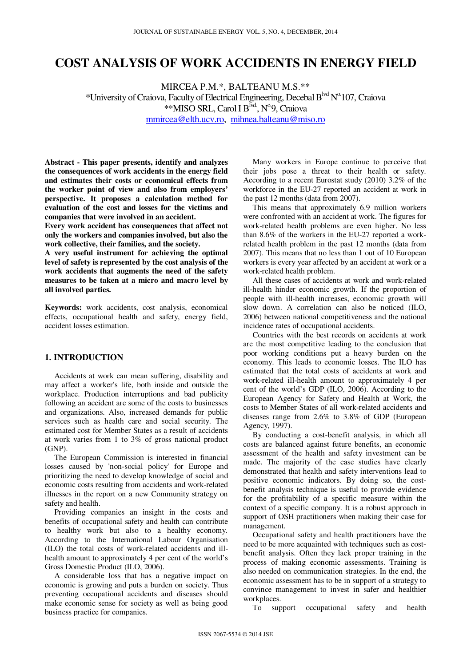# **COST ANALYSIS OF WORK ACCIDENTS IN ENERGY FIELD**

MIRCEA P.M.\*, BALTEANU M.S.\*\* \*University of Craiova, Faculty of Electrical Engineering, Decebal Blvd No.107, Craiova \*\*MISO SRL, Carol I B<sup>lvd</sup>, N<sup>o.</sup>9, Craiova mmircea@elth.ucv.ro, mihnea.balteanu@miso.ro

**Abstract - This paper presents, identify and analyzes the consequences of work accidents in the energy field and estimates their costs or economical effects from the worker point of view and also from employers' perspective. It proposes a calculation method for evaluation of the cost and losses for the victims and companies that were involved in an accident.** 

**Every work accident has consequences that affect not only the workers and companies involved, but also the work collective, their families, and the society.** 

**A very useful instrument for achieving the optimal level of safety is represented by the cost analysis of the work accidents that augments the need of the safety measures to be taken at a micro and macro level by all involved parties.** 

**Keywords:** work accidents, cost analysis, economical effects, occupational health and safety, energy field, accident losses estimation.

## **1. INTRODUCTION**

Accidents at work can mean suffering, disability and may affect a worker's life, both inside and outside the workplace. Production interruptions and bad publicity following an accident are some of the costs to businesses and organizations. Also, increased demands for public services such as health care and social security. The estimated cost for Member States as a result of accidents at work varies from 1 to 3% of gross national product (GNP).

The European Commission is interested in financial losses caused by 'non-social policy' for Europe and prioritizing the need to develop knowledge of social and economic costs resulting from accidents and work-related illnesses in the report on a new Community strategy on safety and health.

Providing companies an insight in the costs and benefits of occupational safety and health can contribute to healthy work but also to a healthy economy. According to the International Labour Organisation (ILO) the total costs of work-related accidents and illhealth amount to approximately 4 per cent of the world's Gross Domestic Product (ILO, 2006).

A considerable loss that has a negative impact on economic is growing and puts a burden on society. Thus preventing occupational accidents and diseases should make economic sense for society as well as being good business practice for companies.

Many workers in Europe continue to perceive that their jobs pose a threat to their health or safety. According to a recent Eurostat study (2010) 3.2% of the workforce in the EU-27 reported an accident at work in the past 12 months (data from 2007).

This means that approximately 6.9 million workers were confronted with an accident at work. The figures for work-related health problems are even higher. No less than 8.6% of the workers in the EU-27 reported a workrelated health problem in the past 12 months (data from 2007). This means that no less than 1 out of 10 European workers is every year affected by an accident at work or a work-related health problem.

All these cases of accidents at work and work-related ill-health hinder economic growth. If the proportion of people with ill-health increases, economic growth will slow down. A correlation can also be noticed (ILO, 2006) between national competitiveness and the national incidence rates of occupational accidents.

Countries with the best records on accidents at work are the most competitive leading to the conclusion that poor working conditions put a heavy burden on the economy. This leads to economic losses. The ILO has estimated that the total costs of accidents at work and work-related ill-health amount to approximately 4 per cent of the world's GDP (ILO, 2006). According to the European Agency for Safety and Health at Work, the costs to Member States of all work-related accidents and diseases range from 2.6% to 3.8% of GDP (European Agency, 1997).

By conducting a cost-benefit analysis, in which all costs are balanced against future benefits, an economic assessment of the health and safety investment can be made. The majority of the case studies have clearly demonstrated that health and safety interventions lead to positive economic indicators. By doing so, the costbenefit analysis technique is useful to provide evidence for the profitability of a specific measure within the context of a specific company. It is a robust approach in support of OSH practitioners when making their case for management.

Occupational safety and health practitioners have the need to be more acquainted with techniques such as costbenefit analysis. Often they lack proper training in the process of making economic assessments. Training is also needed on communication strategies. In the end, the economic assessment has to be in support of a strategy to convince management to invest in safer and healthier workplaces.

To support occupational safety and health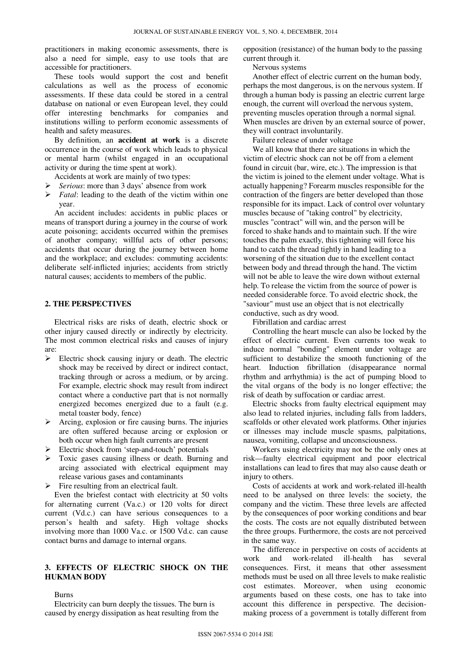practitioners in making economic assessments, there is also a need for simple, easy to use tools that are accessible for practitioners.

These tools would support the cost and benefit calculations as well as the process of economic assessments. If these data could be stored in a central database on national or even European level, they could offer interesting benchmarks for companies and institutions willing to perform economic assessments of health and safety measures.

By definition, an **accident at work** is a discrete occurrence in the course of work which leads to physical or mental harm (whilst engaged in an occupational activity or during the time spent at work).

Accidents at work are mainly of two types:

- *Serious*: more than 3 days' absence from work
- *Fatal*: leading to the death of the victim within one year.

An accident includes: accidents in public places or means of transport during a journey in the course of work acute poisoning; accidents occurred within the premises of another company; willful acts of other persons; accidents that occur during the journey between home and the workplace; and excludes: commuting accidents: deliberate self-inflicted injuries; accidents from strictly natural causes; accidents to members of the public.

#### **2. THE PERSPECTIVES**

Electrical risks are risks of death, electric shock or other injury caused directly or indirectly by electricity. The most common electrical risks and causes of injury are:

- $\triangleright$  Electric shock causing injury or death. The electric shock may be received by direct or indirect contact, tracking through or across a medium, or by arcing. For example, electric shock may result from indirect contact where a conductive part that is not normally energized becomes energized due to a fault (e.g. metal toaster body, fence)
- $\triangleright$  Arcing, explosion or fire causing burns. The injuries are often suffered because arcing or explosion or both occur when high fault currents are present
- Electric shock from 'step-and-touch' potentials
- Toxic gases causing illness or death. Burning and arcing associated with electrical equipment may release various gases and contaminants
- Fire resulting from an electrical fault.

Even the briefest contact with electricity at 50 volts for alternating current (Va.c.) or 120 volts for direct current (Vd.c.) can have serious consequences to a person's health and safety. High voltage shocks involving more than 1000 Va.c. or 1500 Vd.c. can cause contact burns and damage to internal organs.

## **3. EFFECTS OF ELECTRIC SHOCK ON THE HUKMAN BODY**

Burns

Electricity can burn deeply the tissues. The burn is caused by energy dissipation as heat resulting from the opposition (resistance) of the human body to the passing current through it.

Nervous systems

Another effect of electric current on the human body, perhaps the most dangerous, is on the nervous system. If through a human body is passing an electric current large enough, the current will overload the nervous system, preventing muscles operation through a normal signal. When muscles are driven by an external source of power. they will contract involuntarily.

Failure release of under voltage

We all know that there are situations in which the victim of electric shock can not be off from a element found in circuit (bar, wire, etc.). The impression is that the victim is joined to the element under voltage. What is actually happening? Forearm muscles responsible for the contraction of the fingers are better developed than those responsible for its impact. Lack of control over voluntary muscles because of "taking control" by electricity, muscles "contract" will win, and the person will be forced to shake hands and to maintain such. If the wire touches the palm exactly, this tightening will force his hand to catch the thread tightly in hand leading to a worsening of the situation due to the excellent contact between body and thread through the hand. The victim will not be able to leave the wire down without external help. To release the victim from the source of power is needed considerable force. To avoid electric shock, the "saviour" must use an object that is not electrically conductive, such as dry wood.

Fibrillation and cardiac arrest

Controlling the heart muscle can also be locked by the effect of electric current. Even currents too weak to induce normal "bonding" element under voltage are sufficient to destabilize the smooth functioning of the heart. Induction fibrillation (disappearance normal rhythm and arrhythmia) is the act of pumping blood to the vital organs of the body is no longer effective; the risk of death by suffocation or cardiac arrest.

Electric shocks from faulty electrical equipment may also lead to related injuries, including falls from ladders, scaffolds or other elevated work platforms. Other injuries or illnesses may include muscle spasms, palpitations, nausea, vomiting, collapse and unconsciousness.

Workers using electricity may not be the only ones at risk—faulty electrical equipment and poor electrical installations can lead to fires that may also cause death or injury to others.

Costs of accidents at work and work-related ill-health need to be analysed on three levels: the society, the company and the victim. These three levels are affected by the consequences of poor working conditions and bear the costs. The costs are not equally distributed between the three groups. Furthermore, the costs are not perceived in the same way.

The difference in perspective on costs of accidents at work and work-related ill-health has several consequences. First, it means that other assessment methods must be used on all three levels to make realistic cost estimates. Moreover, when using economic arguments based on these costs, one has to take into account this difference in perspective. The decisionmaking process of a government is totally different from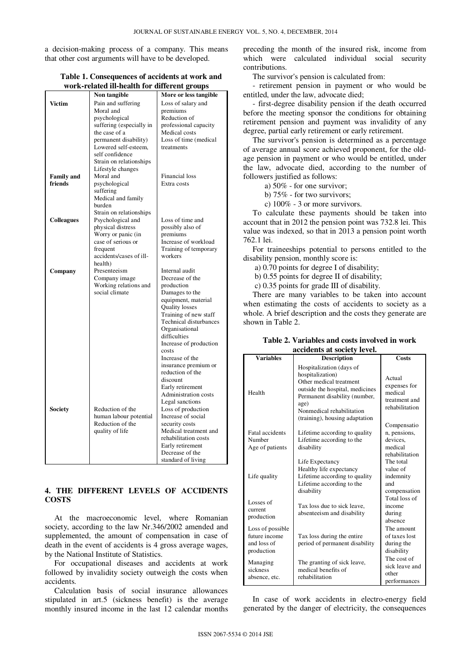a decision-making process of a company. This means that other cost arguments will have to be developed.

|                   | Non tangible                        | More or less tangible                 |
|-------------------|-------------------------------------|---------------------------------------|
| <b>Victim</b>     | Pain and suffering                  | Loss of salary and                    |
|                   | Moral and                           | premiums                              |
|                   | psychological                       | Reduction of                          |
|                   | suffering (especially in            | professional capacity                 |
|                   | the case of a                       | Medical costs                         |
|                   | permanent disability)               | Loss of time (medical                 |
|                   | Lowered self-esteem,                | treatments                            |
|                   | self confidence                     |                                       |
|                   | Strain on relationships             |                                       |
|                   | Lifestyle changes                   |                                       |
| <b>Family and</b> | Moral and                           | <b>Financial</b> loss                 |
| friends           | psychological                       | Extra costs                           |
|                   | suffering                           |                                       |
|                   | Medical and family                  |                                       |
|                   | burden                              |                                       |
|                   | Strain on relationships             |                                       |
| <b>Colleagues</b> | Psychological and                   | Loss of time and                      |
|                   | physical distress                   | possibly also of                      |
|                   | Worry or panic (in                  | premiums                              |
|                   | case of serious or                  | Increase of workload                  |
|                   | frequent<br>accidents/cases of ill- | Training of temporary<br>workers      |
|                   | health)                             |                                       |
|                   | Presenteeism                        | Internal audit                        |
| Company           | Company image                       | Decrease of the                       |
|                   | Working relations and               | production                            |
|                   | social climate                      | Damages to the                        |
|                   |                                     | equipment, material                   |
|                   |                                     | <b>Quality losses</b>                 |
|                   |                                     | Training of new staff                 |
|                   |                                     | Technical disturbances                |
|                   |                                     | Organisational                        |
|                   |                                     | difficulties                          |
|                   |                                     | Increase of production                |
|                   |                                     | costs                                 |
|                   |                                     | Increase of the                       |
|                   |                                     | insurance premium or                  |
|                   |                                     | reduction of the                      |
|                   |                                     | discount                              |
|                   |                                     | Early retirement                      |
|                   |                                     | Administration costs                  |
|                   |                                     | Legal sanctions                       |
| <b>Society</b>    | Reduction of the                    | Loss of production                    |
|                   | human labour potential              | Increase of social                    |
|                   | Reduction of the                    | security costs                        |
|                   | quality of life                     | Medical treatment and                 |
|                   |                                     | rehabilitation costs                  |
|                   |                                     | Early retirement                      |
|                   |                                     | Decrease of the<br>standard of living |
|                   |                                     |                                       |

## **Table 1. Consequences of accidents at work and work-related ill-health for different groups**

# **4. THE DIFFERENT LEVELS OF ACCIDENTS COSTS**

At the macroeconomic level, where Romanian society, according to the law Nr.346/2002 amended and supplemented, the amount of compensation in case of death in the event of accidents is 4 gross average wages, by the National Institute of Statistics.

For occupational diseases and accidents at work followed by invalidity society outweigh the costs when accidents.

Calculation basis of social insurance allowances stipulated in art.5 (sickness benefit) is the average monthly insured income in the last 12 calendar months preceding the month of the insured risk, income from which were calculated individual social security contributions.

The survivor's pension is calculated from:

- retirement pension in payment or who would be entitled, under the law, advocate died;

- first-degree disability pension if the death occurred before the meeting sponsor the conditions for obtaining retirement pension and payment was invalidity of any degree, partial early retirement or early retirement.

The survivor's pension is determined as a percentage of average annual score achieved proponent, for the oldage pension in payment or who would be entitled, under the law, advocate died, according to the number of followers justified as follows:

a) 50% - for one survivor;

b) 75% - for two survivors;

c) 100% - 3 or more survivors.

To calculate these payments should be taken into account that in 2012 the pension point was 732.8 lei. This value was indexed, so that in 2013 a pension point worth 762.1 lei.

For traineeships potential to persons entitled to the disability pension, monthly score is:

a) 0.70 points for degree I of disability;

b) 0.55 points for degree II of disability;

c) 0.35 points for grade III of disability.

There are many variables to be taken into account when estimating the costs of accidents to society as a whole. A brief description and the costs they generate are shown in Table 2.

| Table 2. Variables and costs involved in work |  |  |
|-----------------------------------------------|--|--|
| accidents at society level.                   |  |  |

| <b>Variables</b>                                               | <b>Description</b>                                                                                                                                                                                                 | <b>Costs</b>                                                               |
|----------------------------------------------------------------|--------------------------------------------------------------------------------------------------------------------------------------------------------------------------------------------------------------------|----------------------------------------------------------------------------|
| Health                                                         | Hospitalization (days of<br>hospitalization)<br>Other medical treatment<br>outside the hospital, medicines<br>Permanent disability (number,<br>age)<br>Nonmedical rehabilitation<br>(training), housing adaptation | Actual<br>expenses for<br>medical<br>treatment and<br>rehabilitation       |
| Fatal accidents<br>Number<br>Age of patients                   | Lifetime according to quality<br>Lifetime according to the<br>disability                                                                                                                                           | Compensatio<br>n, pensions,<br>devices.<br>medical<br>rehabilitation       |
| Life quality                                                   | Life Expectancy<br>Healthy life expectancy<br>Lifetime according to quality<br>Lifetime according to the<br>disability                                                                                             | The total<br>value of<br>indemnity<br>and<br>compensation<br>Total loss of |
| Losses of<br>current<br>production                             | Tax loss due to sick leave.<br>absenteeism and disability                                                                                                                                                          | income<br>during<br>absence                                                |
| Loss of possible<br>future income<br>and loss of<br>production | Tax loss during the entire<br>period of permanent disability                                                                                                                                                       | The amount<br>of taxes lost<br>during the<br>disability                    |
| Managing<br>sickness<br>absence, etc.                          | The granting of sick leave,<br>medical benefits of<br>rehabilitation                                                                                                                                               | The cost of<br>sick leave and<br>other<br>performances                     |

In case of work accidents in electro-energy field generated by the danger of electricity, the consequences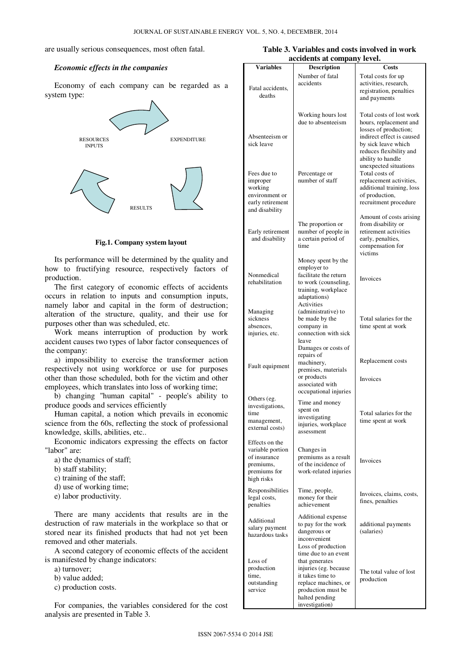#### are usually serious consequences, most often fatal.

#### *Economic effects in the companies*

Economy of each company can be regarded as a system type:



**Fig.1. Company system layout** 

Its performance will be determined by the quality and how to fructifying resource, respectively factors of production.

The first category of economic effects of accidents occurs in relation to inputs and consumption inputs, namely labor and capital in the form of destruction; alteration of the structure, quality, and their use for purposes other than was scheduled, etc.

Work means interruption of production by work accident causes two types of labor factor consequences of the company:

a) impossibility to exercise the transformer action respectively not using workforce or use for purposes other than those scheduled, both for the victim and other employees, which translates into loss of working time;

b) changing "human capital" - people's ability to produce goods and services efficiently

Human capital, a notion which prevails in economic science from the 60s, reflecting the stock of professional knowledge, skills, abilities, etc..

Economic indicators expressing the effects on factor "labor" are:

- a) the dynamics of staff;
- b) staff stability;
- c) training of the staff;
- d) use of working time;
- e) labor productivity.

There are many accidents that results are in the destruction of raw materials in the workplace so that or stored near its finished products that had not yet been removed and other materials.

A second category of economic effects of the accident is manifested by change indicators:

- a) turnover;
- b) value added;
- c) production costs.

For companies, the variables considered for the cost analysis are presented in Table 3.

| Table 3. Variables and costs involved in work |  |  |  |
|-----------------------------------------------|--|--|--|
| accidents at company level.                   |  |  |  |

| <b>Variables</b>                                                                              | <b>Description</b>                                                                                                                                                    | Costs                                                                                                                                                                           |
|-----------------------------------------------------------------------------------------------|-----------------------------------------------------------------------------------------------------------------------------------------------------------------------|---------------------------------------------------------------------------------------------------------------------------------------------------------------------------------|
| Fatal accidents,<br>deaths                                                                    | Number of fatal<br>accidents                                                                                                                                          | Total costs for up<br>activities, research,<br>registration, penalties<br>and payments                                                                                          |
| Absenteeism or<br>sick leave                                                                  | Working hours lost<br>due to absenteeism                                                                                                                              | Total costs of lost work<br>hours, replacement and<br>losses of production;<br>indirect effect is caused<br>by sick leave which<br>reduces flexibility and<br>ability to handle |
| Fees due to<br>improper<br>working<br>environment or<br>early retirement<br>and disability    | Percentage or<br>number of staff                                                                                                                                      | unexpected situations<br>Total costs of<br>replacement activities,<br>additional training, loss<br>of production,<br>recruitment procedure                                      |
| Early retirement<br>and disability                                                            | The proportion or<br>number of people in<br>a certain period of<br>time                                                                                               | Amount of costs arising<br>from disability or<br>retirement activities<br>early, penalties,<br>compensation for<br>victims                                                      |
| Nonmedical<br>rehabilitation                                                                  | Money spent by the<br>employer to<br>facilitate the return<br>to work (counseling,<br>training, workplace<br>adaptations)                                             | Invoices                                                                                                                                                                        |
| Managing<br>sickness<br>absences,<br>injuries, etc.                                           | Activities<br>(administrative) to<br>be made by the<br>company in<br>connection with sick<br>leave<br>Damages or costs of                                             | Total salaries for the<br>time spent at work                                                                                                                                    |
| Fault equipment                                                                               | repairs of<br>machinery,<br>premises, materials<br>or products<br>associated with<br>occupational injuries                                                            | Replacement costs<br>Invoices                                                                                                                                                   |
| Others (eg.<br>investigations,<br>time<br>management,<br>external costs)                      | Time and money<br>spent on<br>investigating<br>injuries, workplace<br>assessment                                                                                      | Total salaries for the<br>time spent at work                                                                                                                                    |
| Effects on the<br>variable portion<br>of insurance<br>premiums,<br>premiums for<br>high risks | Changes in<br>premiums as a result<br>of the incidence of<br>work-related injuries                                                                                    | Invoices                                                                                                                                                                        |
| Responsibilities<br>legal costs,<br>penalties                                                 | Time, people,<br>money for their<br>achievement                                                                                                                       | Invoices, claims, costs,<br>fines, penalties                                                                                                                                    |
| Additional<br>salary payment<br>hazardous tasks                                               | Additional expense<br>to pay for the work<br>dangerous or<br>inconvenient<br>Loss of production                                                                       | additional payments<br>(salaries)                                                                                                                                               |
| Loss of<br>production<br>time,<br>outstanding<br>service                                      | time due to an event<br>that generates<br>injuries (eg. because<br>it takes time to<br>replace machines, or<br>production must be<br>halted pending<br>investigation) | The total value of lost<br>production                                                                                                                                           |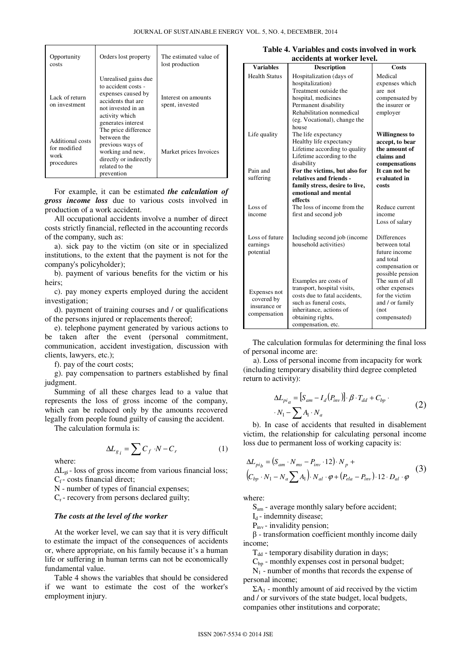| Opportunity<br>costs                                   | Orders lost property                                                                                                                                  | The estimated value of<br>lost production |
|--------------------------------------------------------|-------------------------------------------------------------------------------------------------------------------------------------------------------|-------------------------------------------|
| Lack of return<br>on investment                        | Unrealised gains due<br>to accident costs -<br>expenses caused by<br>accidents that are<br>not invested in an<br>activity which<br>generates interest | Interest on amounts<br>spent, invested    |
| Additional costs<br>for modified<br>work<br>procedures | The price difference<br>between the<br>previous ways of<br>working and new,<br>directly or indirectly<br>related to the<br>prevention                 | Market prices Invoices                    |

For example, it can be estimated *the calculation of gross income loss* due to various costs involved in production of a work accident.

All occupational accidents involve a number of direct costs strictly financial, reflected in the accounting records of the company, such as:

a). sick pay to the victim (on site or in specialized institutions, to the extent that the payment is not for the company's policyholder);

b). payment of various benefits for the victim or his heirs;

c). pay money experts employed during the accident investigation;

d). payment of training courses and / or qualifications of the persons injured or replacements thereof;

e). telephone payment generated by various actions to be taken after the event (personal commitment, communication, accident investigation, discussion with clients, lawyers, etc.);

f). pay of the court costs;

g). pay compensation to partners established by final judgment.

Summing of all these charges lead to a value that represents the loss of gross income of the company, which can be reduced only by the amounts recovered legally from people found guilty of causing the accident.

The calculation formula is:

$$
\Delta L_{g_i} = \sum C_f \cdot N - C_r \tag{1}
$$

where:

 $\Delta L_{\rm vi}$  - loss of gross income from various financial loss;  $C_f$ - costs financial direct;

N - number of types of financial expenses;

 $C_r$  - recovery from persons declared guilty;

# *The costs at the level of the worker*

At the worker level, we can say that it is very difficult to estimate the impact of the consequences of accidents or, where appropriate, on his family because it's a human life or suffering in human terms can not be economically fundamental value.

Table 4 shows the variables that should be considered if we want to estimate the cost of the worker's employment injury.

| Table 4. Variables and costs involved in work |  |  |  |  |
|-----------------------------------------------|--|--|--|--|
| accidents at worker level.                    |  |  |  |  |

| <b>Variables</b>     | <b>Description</b>             | Costs              |
|----------------------|--------------------------------|--------------------|
| <b>Health Status</b> | Hospitalization (days of       | Medical            |
|                      | hospitalization)               | expenses which     |
|                      | Treatment outside the          | are not            |
|                      | hospital, medicines            | compensated by     |
|                      | Permanent disability           | the insurer or     |
|                      | Rehabilitation nonmedical      | employer           |
|                      | (eg. Vocational), change the   |                    |
|                      | house                          |                    |
| Life quality         | The life expectancy            | Willingness to     |
|                      | Healthy life expectancy        | accept, to bear    |
|                      | Lifetime according to quality  | the amount of      |
|                      | Lifetime according to the      | claims and         |
|                      | disability                     | compensations      |
| Pain and             | For the victims, but also for  | It can not be      |
| suffering            | relatives and friends -        | evaluated in       |
|                      | family stress, desire to live, | costs              |
|                      | emotional and mental           |                    |
|                      | effects                        |                    |
| Loss of              | The loss of income from the    | Reduce current     |
| income               | first and second job           | income             |
|                      |                                | Loss of salary     |
| Loss of future       | Including second job (income   | <b>Differences</b> |
| earnings             | household activities)          | between total      |
| potential            |                                | future income      |
|                      |                                | and total          |
|                      |                                | compensation or    |
|                      |                                | possible pension   |
|                      | Examples are costs of          | The sum of all     |
|                      | transport, hospital visits,    | other expenses     |
| Expenses not         | costs due to fatal accidents.  | for the victim     |
| covered by           | such as funeral costs,         | and / or family    |
| insurance or         | inheritance, actions of        | (not)              |
| compensation         | obtaining rights,              | compensated)       |
|                      | compensation, etc.             |                    |

 The calculation formulas for determining the final loss of personal income are:

 a). Loss of personal income from incapacity for work (including temporary disability third degree completed return to activity):

$$
\Delta L_{pi_a} = [S_{am} - I_d(P_{inv})] \cdot \beta \cdot T_{dd} + C_{bp} \cdot (2)
$$

$$
\cdot N_1 - \sum A_1 \cdot N_a
$$

b). In case of accidents that resulted in disablement victim, the relationship for calculating personal income loss due to permanent loss of working capacity is:

$$
\Delta L_{pi_b} = (S_{am} \cdot N_{ms} - P_{inv} \cdot 12) \cdot N_p +
$$
  
\n
$$
(C_{bp} \cdot N_1 - N_a \sum A_1) \cdot N_{al} \cdot \varphi + (P_{ela} - P_{inv}) \cdot 12 \cdot D_{al} \cdot \varphi
$$
 (3)

where:

S<sub>am</sub> - average monthly salary before accident;

 $I_d$  - indemnity disease;

 $P_{inv}$  - invalidity pension;

β - transformation coefficient monthly income daily income;

 $T_{dd}$  - temporary disability duration in days;

 $C<sub>bn</sub>$  - monthly expenses cost in personal budget;

 $N_1$  - number of months that records the expense of personal income;

 $\Sigma A_1$  - monthly amount of aid received by the victim and / or survivors of the state budget, local budgets, companies other institutions and corporate;